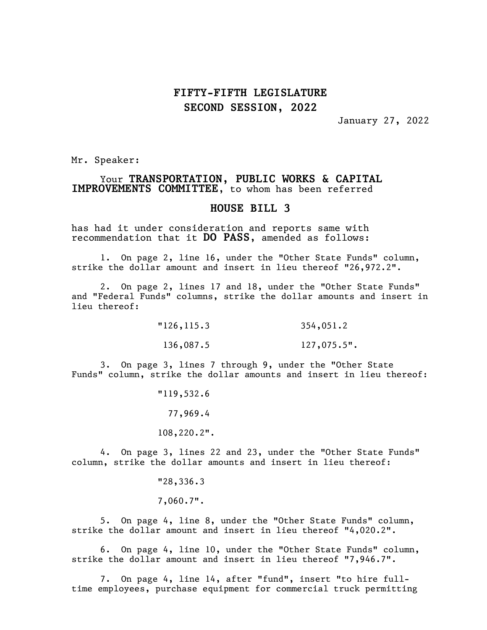## FIFTY-FIFTH LEGISLATURE SECOND SESSION, 2022

January 27, 2022

Mr. Speaker:

### Your TRANSPORTATION, PUBLIC WORKS & CAPITAL IMPROVEMENTS COMMITTEE, to whom has been referred

#### HOUSE BILL 3

has had it under consideration and reports same with recommendation that it DO PASS, amended as follows:

1. On page 2, line 16, under the "Other State Funds" column, strike the dollar amount and insert in lieu thereof "26,972.2".

2. On page 2, lines 17 and 18, under the "Other State Funds" and "Federal Funds" columns, strike the dollar amounts and insert in lieu thereof:

> "126,115.3 354,051.2 136,087.5 127,075.5".

3. On page 3, lines 7 through 9, under the "Other State Funds" column, strike the dollar amounts and insert in lieu thereof:

> "119,532.6 77,969.4 108,220.2".

4. On page 3, lines 22 and 23, under the "Other State Funds" column, strike the dollar amounts and insert in lieu thereof:

"28,336.3

7,060.7".

5. On page 4, line 8, under the "Other State Funds" column, strike the dollar amount and insert in lieu thereof "4,020.2".

6. On page 4, line 10, under the "Other State Funds" column, strike the dollar amount and insert in lieu thereof "7,946.7".

7. On page 4, line 14, after "fund", insert "to hire fulltime employees, purchase equipment for commercial truck permitting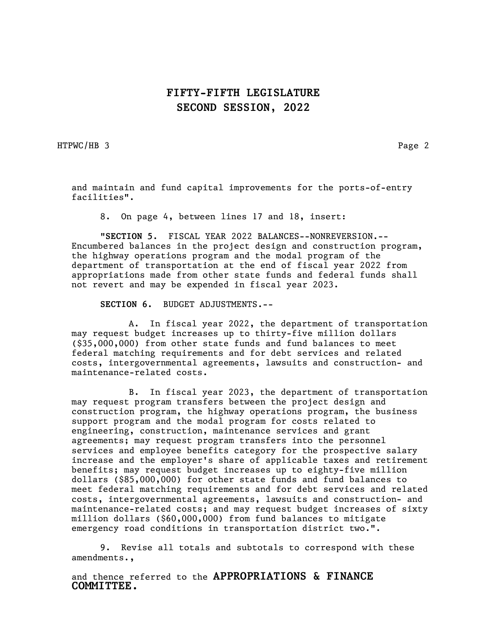## FIFTY-FIFTH LEGISLATURE SECOND SESSION, 2022

HTPWC/HB 3 Page 2

and maintain and fund capital improvements for the ports-of-entry facilities".

8. On page 4, between lines 17 and 18, insert:

"SECTION 5. FISCAL YEAR 2022 BALANCES--NONREVERSION.-- Encumbered balances in the project design and construction program, the highway operations program and the modal program of the department of transportation at the end of fiscal year 2022 from appropriations made from other state funds and federal funds shall not revert and may be expended in fiscal year 2023.

SECTION 6. BUDGET ADJUSTMENTS.--

A. In fiscal year 2022, the department of transportation may request budget increases up to thirty-five million dollars (\$35,000,000) from other state funds and fund balances to meet federal matching requirements and for debt services and related costs, intergovernmental agreements, lawsuits and construction- and maintenance-related costs.

B. In fiscal year 2023, the department of transportation may request program transfers between the project design and construction program, the highway operations program, the business support program and the modal program for costs related to engineering, construction, maintenance services and grant agreements; may request program transfers into the personnel services and employee benefits category for the prospective salary increase and the employer's share of applicable taxes and retirement benefits; may request budget increases up to eighty-five million dollars (\$85,000,000) for other state funds and fund balances to meet federal matching requirements and for debt services and related costs, intergovernmental agreements, lawsuits and construction- and maintenance-related costs; and may request budget increases of sixty million dollars (\$60,000,000) from fund balances to mitigate emergency road conditions in transportation district two.".

9. Revise all totals and subtotals to correspond with these amendments.,

and thence referred to the APPROPRIATIONS & FINANCE COMMITTEE.